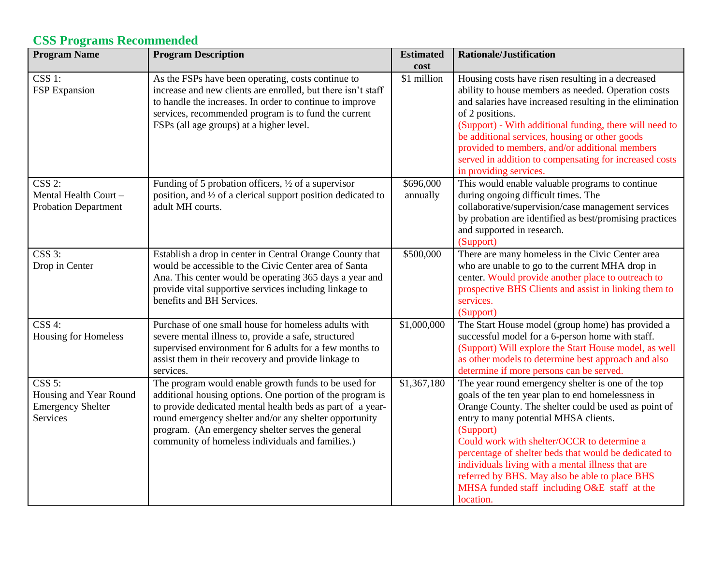## **CSS Programs Recommended**

| <b>Program Name</b>                                                                          | <b>Program Description</b>                                                                                                                                                                                                                                                                                                                         | <b>Estimated</b><br>cost | <b>Rationale/Justification</b>                                                                                                                                                                                                                                                                                                                                                                                                                                                                    |
|----------------------------------------------------------------------------------------------|----------------------------------------------------------------------------------------------------------------------------------------------------------------------------------------------------------------------------------------------------------------------------------------------------------------------------------------------------|--------------------------|---------------------------------------------------------------------------------------------------------------------------------------------------------------------------------------------------------------------------------------------------------------------------------------------------------------------------------------------------------------------------------------------------------------------------------------------------------------------------------------------------|
| $\overline{\text{CSS 1:}}$<br>FSP Expansion                                                  | As the FSPs have been operating, costs continue to<br>increase and new clients are enrolled, but there isn't staff<br>to handle the increases. In order to continue to improve<br>services, recommended program is to fund the current<br>FSPs (all age groups) at a higher level.                                                                 | \$1 million              | Housing costs have risen resulting in a decreased<br>ability to house members as needed. Operation costs<br>and salaries have increased resulting in the elimination<br>of 2 positions.<br>(Support) - With additional funding, there will need to<br>be additional services, housing or other goods<br>provided to members, and/or additional members<br>served in addition to compensating for increased costs<br>in providing services.                                                        |
| CSS 2:<br>Mental Health Court-<br><b>Probation Department</b>                                | Funding of 5 probation officers, $\frac{1}{2}$ of a supervisor<br>position, and 1/2 of a clerical support position dedicated to<br>adult MH courts.                                                                                                                                                                                                | \$696,000<br>annually    | This would enable valuable programs to continue<br>during ongoing difficult times. The<br>collaborative/supervision/case management services<br>by probation are identified as best/promising practices<br>and supported in research.<br>(Support)                                                                                                                                                                                                                                                |
| $CSS3$ :<br>Drop in Center                                                                   | Establish a drop in center in Central Orange County that<br>would be accessible to the Civic Center area of Santa<br>Ana. This center would be operating 365 days a year and<br>provide vital supportive services including linkage to<br>benefits and BH Services.                                                                                | \$500,000                | There are many homeless in the Civic Center area<br>who are unable to go to the current MHA drop in<br>center. Would provide another place to outreach to<br>prospective BHS Clients and assist in linking them to<br>services.<br>(Support)                                                                                                                                                                                                                                                      |
| CSS 4:<br>Housing for Homeless                                                               | Purchase of one small house for homeless adults with<br>severe mental illness to, provide a safe, structured<br>supervised environment for 6 adults for a few months to<br>assist them in their recovery and provide linkage to<br>services.                                                                                                       | \$1,000,000              | The Start House model (group home) has provided a<br>successful model for a 6-person home with staff.<br>(Support) Will explore the Start House model, as well<br>as other models to determine best approach and also<br>determine if more persons can be served.                                                                                                                                                                                                                                 |
| $\overline{\text{CSS 5:}}$<br>Housing and Year Round<br><b>Emergency Shelter</b><br>Services | The program would enable growth funds to be used for<br>additional housing options. One portion of the program is<br>to provide dedicated mental health beds as part of a year-<br>round emergency shelter and/or any shelter opportunity<br>program. (An emergency shelter serves the general<br>community of homeless individuals and families.) | \$1,367,180              | The year round emergency shelter is one of the top<br>goals of the ten year plan to end homelessness in<br>Orange County. The shelter could be used as point of<br>entry to many potential MHSA clients.<br>(Support)<br>Could work with shelter/OCCR to determine a<br>percentage of shelter beds that would be dedicated to<br>individuals living with a mental illness that are<br>referred by BHS. May also be able to place BHS<br>MHSA funded staff including O&E staff at the<br>location. |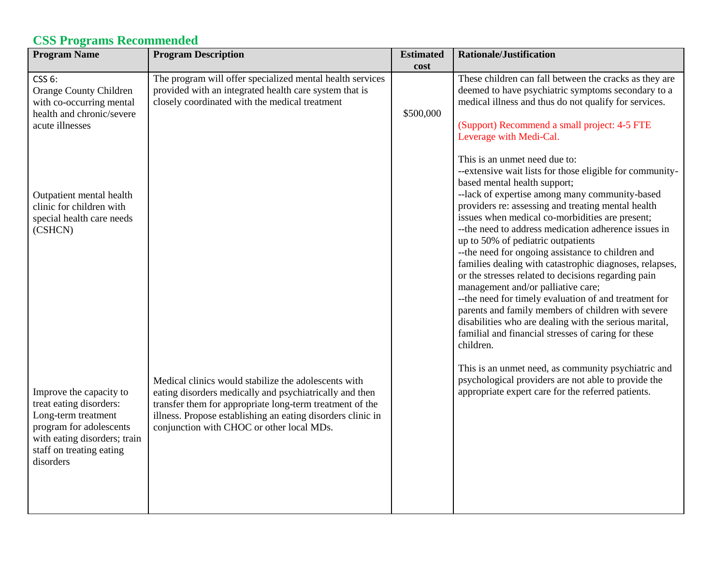## **CSS Programs Recommended**

| <b>Program Name</b>                                                                                                                                                           | <b>Program Description</b>                                                                                                                                                                                                                                                              | <b>Estimated</b><br>cost | <b>Rationale/Justification</b>                                                                                                                                                                                                                                                                                                                                                                                                                                                                                                                                                                                                                                                                                                                                                                                                                  |
|-------------------------------------------------------------------------------------------------------------------------------------------------------------------------------|-----------------------------------------------------------------------------------------------------------------------------------------------------------------------------------------------------------------------------------------------------------------------------------------|--------------------------|-------------------------------------------------------------------------------------------------------------------------------------------------------------------------------------------------------------------------------------------------------------------------------------------------------------------------------------------------------------------------------------------------------------------------------------------------------------------------------------------------------------------------------------------------------------------------------------------------------------------------------------------------------------------------------------------------------------------------------------------------------------------------------------------------------------------------------------------------|
| CSS 6:<br>Orange County Children<br>with co-occurring mental<br>health and chronic/severe<br>acute illnesses                                                                  | The program will offer specialized mental health services<br>provided with an integrated health care system that is<br>closely coordinated with the medical treatment                                                                                                                   | \$500,000                | These children can fall between the cracks as they are<br>deemed to have psychiatric symptoms secondary to a<br>medical illness and thus do not qualify for services.<br>(Support) Recommend a small project: 4-5 FTE<br>Leverage with Medi-Cal.                                                                                                                                                                                                                                                                                                                                                                                                                                                                                                                                                                                                |
| Outpatient mental health<br>clinic for children with<br>special health care needs<br>(CSHCN)                                                                                  |                                                                                                                                                                                                                                                                                         |                          | This is an unmet need due to:<br>--extensive wait lists for those eligible for community-<br>based mental health support;<br>--lack of expertise among many community-based<br>providers re: assessing and treating mental health<br>issues when medical co-morbidities are present;<br>-- the need to address medication adherence issues in<br>up to 50% of pediatric outpatients<br>-- the need for ongoing assistance to children and<br>families dealing with catastrophic diagnoses, relapses,<br>or the stresses related to decisions regarding pain<br>management and/or palliative care;<br>-- the need for timely evaluation of and treatment for<br>parents and family members of children with severe<br>disabilities who are dealing with the serious marital,<br>familial and financial stresses of caring for these<br>children. |
| Improve the capacity to<br>treat eating disorders:<br>Long-term treatment<br>program for adolescents<br>with eating disorders; train<br>staff on treating eating<br>disorders | Medical clinics would stabilize the adolescents with<br>eating disorders medically and psychiatrically and then<br>transfer them for appropriate long-term treatment of the<br>illness. Propose establishing an eating disorders clinic in<br>conjunction with CHOC or other local MDs. |                          | This is an unmet need, as community psychiatric and<br>psychological providers are not able to provide the<br>appropriate expert care for the referred patients.                                                                                                                                                                                                                                                                                                                                                                                                                                                                                                                                                                                                                                                                                |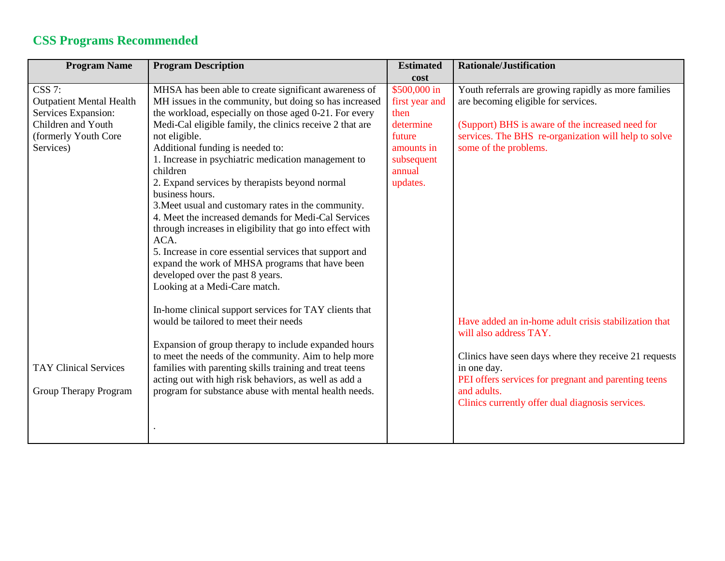## **CSS Programs Recommended**

| <b>Program Name</b>                                                                                                                | <b>Program Description</b>                                                                                                                                                                                                                                                                                                                                                                                                                                                                                                                                                                                                                                                                                                                                                                               | <b>Estimated</b>                                                                                                | <b>Rationale/Justification</b>                                                                                                                                                                                                                                                     |
|------------------------------------------------------------------------------------------------------------------------------------|----------------------------------------------------------------------------------------------------------------------------------------------------------------------------------------------------------------------------------------------------------------------------------------------------------------------------------------------------------------------------------------------------------------------------------------------------------------------------------------------------------------------------------------------------------------------------------------------------------------------------------------------------------------------------------------------------------------------------------------------------------------------------------------------------------|-----------------------------------------------------------------------------------------------------------------|------------------------------------------------------------------------------------------------------------------------------------------------------------------------------------------------------------------------------------------------------------------------------------|
|                                                                                                                                    |                                                                                                                                                                                                                                                                                                                                                                                                                                                                                                                                                                                                                                                                                                                                                                                                          | cost                                                                                                            |                                                                                                                                                                                                                                                                                    |
| <b>CSS 7:</b><br><b>Outpatient Mental Health</b><br>Services Expansion:<br>Children and Youth<br>(formerly Youth Core<br>Services) | MHSA has been able to create significant awareness of<br>MH issues in the community, but doing so has increased<br>the workload, especially on those aged 0-21. For every<br>Medi-Cal eligible family, the clinics receive 2 that are<br>not eligible.<br>Additional funding is needed to:<br>1. Increase in psychiatric medication management to<br>children<br>2. Expand services by therapists beyond normal<br>business hours.<br>3. Meet usual and customary rates in the community.<br>4. Meet the increased demands for Medi-Cal Services<br>through increases in eligibility that go into effect with<br>ACA.<br>5. Increase in core essential services that support and<br>expand the work of MHSA programs that have been<br>developed over the past 8 years.<br>Looking at a Medi-Care match. | \$500,000 in<br>first year and<br>then<br>determine<br>future<br>amounts in<br>subsequent<br>annual<br>updates. | Youth referrals are growing rapidly as more families<br>are becoming eligible for services.<br>(Support) BHS is aware of the increased need for<br>services. The BHS re-organization will help to solve<br>some of the problems.                                                   |
| <b>TAY Clinical Services</b><br>Group Therapy Program                                                                              | In-home clinical support services for TAY clients that<br>would be tailored to meet their needs<br>Expansion of group therapy to include expanded hours<br>to meet the needs of the community. Aim to help more<br>families with parenting skills training and treat teens<br>acting out with high risk behaviors, as well as add a<br>program for substance abuse with mental health needs.                                                                                                                                                                                                                                                                                                                                                                                                             |                                                                                                                 | Have added an in-home adult crisis stabilization that<br>will also address TAY.<br>Clinics have seen days where they receive 21 requests<br>in one day.<br>PEI offers services for pregnant and parenting teens<br>and adults.<br>Clinics currently offer dual diagnosis services. |